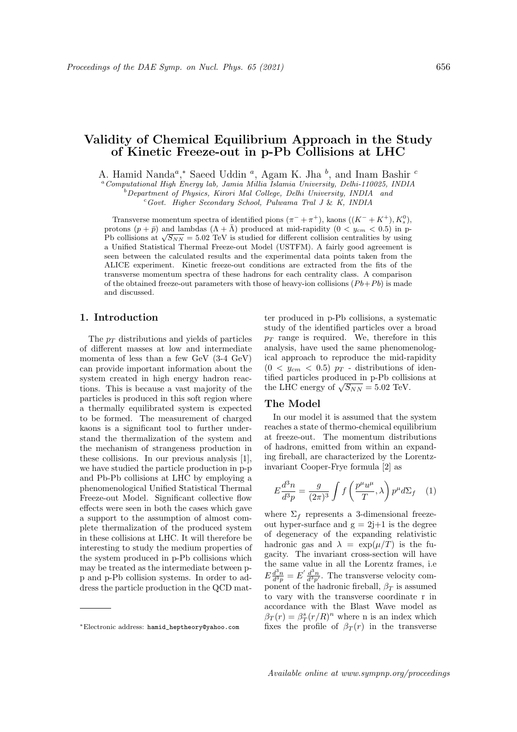# Validity of Chemical Equilibrium Approach in the Study of Kinetic Freeze-out in p-Pb Collisions at LHC

A. Hamid Nanda<sup>a</sup>,\* Saeed Uddin<sup>a</sup>, Agam K. Jha<sup>b</sup>, and Inam Bashir<sup>c</sup>

<sup>a</sup>Computational High Energy lab, Jamia Millia Islamia University, Delhi-110025, INDIA

 $b$ Department of Physics, Kirori Mal College, Delhi University, INDIA and  $c$ Govt. Higher Secondary School, Pulwama Tral J & K, INDIA

Transverse momentum spectra of identified pions  $(\pi^- + \pi^+)$ , kaons  $((K^- + K^+), K_s^0)$ , protons  $(p + \bar{p})$  and lambdas  $(\Lambda + \bar{\Lambda})$  produced at mid-rapidity  $(0 < y_{cm} < 0.5)$  in pprotons  $(p + p)$  and lambdas  $(\Lambda + \Lambda)$  produced at mid-rapidity  $(0 < y_{cm} < 0.5)$  in p-<br>Pb collisions at  $\sqrt{S_{NN}} = 5.02$  TeV is studied for different collision centralities by using a Unified Statistical Thermal Freeze-out Model (USTFM). A fairly good agreement is seen between the calculated results and the experimental data points taken from the ALICE experiment. Kinetic freeze-out conditions are extracted from the fits of the transverse momentum spectra of these hadrons for each centrality class. A comparison of the obtained freeze-out parameters with those of heavy-ion collisions  $(Pb+Pb)$  is made and discussed.

## 1. Introduction

The  $p_T$  distributions and yields of particles of different masses at low and intermediate momenta of less than a few GeV (3-4 GeV) can provide important information about the system created in high energy hadron reactions. This is because a vast majority of the particles is produced in this soft region where a thermally equilibrated system is expected to be formed. The measurement of charged kaons is a significant tool to further understand the thermalization of the system and the mechanism of strangeness production in these collisions. In our previous analysis [1], we have studied the particle production in p-p and Pb-Pb collisions at LHC by employing a phenomenological Unified Statistical Thermal Freeze-out Model. Significant collective flow effects were seen in both the cases which gave a support to the assumption of almost complete thermalization of the produced system in these collisions at LHC. It will therefore be interesting to study the medium properties of the system produced in p-Pb collisions which may be treated as the intermediate between pp and p-Pb collision systems. In order to address the particle production in the QCD matter produced in p-Pb collisions, a systematic study of the identified particles over a broad  $p_T$  range is required. We, therefore in this analysis, have used the same phenomenological approach to reproduce the mid-rapidity  $(0 \lt y_{cm} \lt 0.5)$   $p_T$  - distributions of identified particles produced in p-Pb collisions at the LHC energy of  $\sqrt{S_{NN}} = 5.02$  TeV.

### The Model

In our model it is assumed that the system reaches a state of thermo-chemical equilibrium at freeze-out. The momentum distributions of hadrons, emitted from within an expanding fireball, are characterized by the Lorentzinvariant Cooper-Frye formula [2] as

$$
E\frac{d^3n}{d^3p} = \frac{g}{(2\pi)^3} \int f\left(\frac{p^\mu u^\mu}{T}, \lambda\right) p^\mu d\Sigma_f \quad (1)
$$

where  $\Sigma_f$  represents a 3-dimensional freezeout hyper-surface and  $g = 2j+1$  is the degree of degeneracy of the expanding relativistic hadronic gas and  $\lambda = \exp(\mu/T)$  is the fugacity. The invariant cross-section will have the same value in all the Lorentz frames, i.e  $E\frac{d^3n}{d^3p} = E'\frac{d^3n}{d^3p'}$ . The transverse velocity component of the hadronic fireball,  $\beta_T$  is assumed to vary with the transverse coordinate r in accordance with the Blast Wave model as  $\beta_T(r) = \beta_T^s (r/R)^n$  where n is an index which fixes the profile of  $\beta_T(r)$  in the transverse

<sup>∗</sup>Electronic address: hamid\_heptheory@yahoo.com